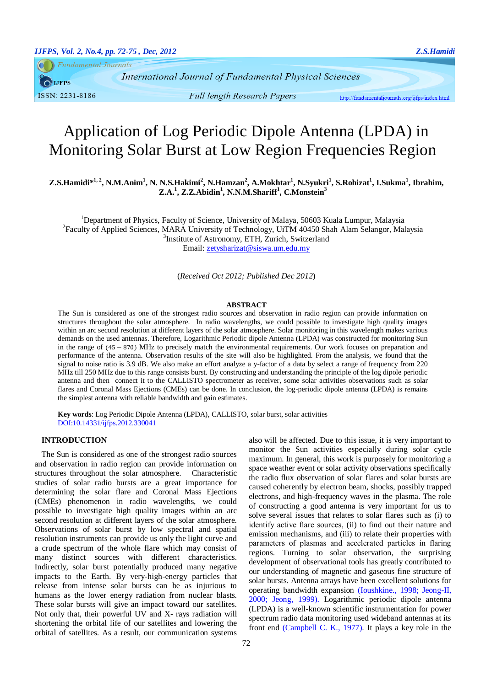**Fundamental Journals** 

**IJFPS** 

ISSN: 2231-8186

International Journal of Fundamental Physical Sciences

http://fundamentaljournals.org/ijfps/index.html

# Application of Log Periodic Dipole Antenna (LPDA) in Monitoring Solar Burst at Low Region Frequencies Region

Z.S.Hamidi\*<sup>1,2</sup>, N.M.Anim<sup>1</sup>, N. N.S.Hakimi<sup>2</sup>, N.Hamzan<sup>2</sup>, A.Mokhtar<sup>1</sup>, N.Syukri<sup>1</sup>, S.Rohizat<sup>1</sup>, I.Sukma<sup>1</sup>, Ibrahim, **Z.A.<sup>1</sup> , Z.Z.Abidin<sup>1</sup> , N.N.M.Shariff<sup>1</sup> , C.Monstein<sup>3</sup>**

<sup>1</sup>Department of Physics, Faculty of Science, University of Malaya, 50603 Kuala Lumpur, Malaysia <sup>2</sup> Faculty of Applied Sciences, MARA University of Technology, UiTM 40450 Shah Alam Selangor, Malaysia 3 Institute of Astronomy, ETH, Zurich, Switzerland

Email: [zetysharizat@siswa.um.edu.my](mailto:zetysharizat@siswa.um.edu.my)

(*Received Oct 2012; Published Dec 2012*)

#### **ABSTRACT**

The Sun is considered as one of the strongest radio sources and observation in radio region can provide information on structures throughout the solar atmosphere. In radio wavelengths, we could possible to investigate high quality images within an arc second resolution at different layers of the solar atmosphere. Solar monitoring in this wavelength makes various demands on the used antennas. Therefore, Logarithmic Periodic dipole Antenna (LPDA) was constructed for monitoring Sun in the range of (45 − 870) MHz to precisely match the environmental requirements. Our work focuses on preparation and performance of the antenna. Observation results of the site will also be highlighted. From the analysis, we found that the signal to noise ratio is 3.9 dB. We also make an effort analyze a y-factor of a data by select a range of frequency from 220 MHz till 250 MHz due to this range consists burst. By constructing and understanding the principle of the log dipole periodic antenna and then connect it to the CALLISTO spectrometer as receiver, some solar activities observations such as solar flares and Coronal Mass Ejections (CMEs) can be done. In conclusion, the log-periodic dipole antenna (LPDA) is remains the simplest antenna with reliable bandwidth and gain estimates.

**Key words**: Log Periodic Dipole Antenna (LPDA), CALLISTO, solar burst, solar activities DOI:10.14331/ijfps.2012.330041

# **INTRODUCTION**

The Sun is considered as one of the strongest radio sources and observation in radio region can provide information on structures throughout the solar atmosphere. Characteristic studies of solar radio bursts are a great importance for determining the solar flare and Coronal Mass Ejections (CMEs) phenomenon in radio wavelengths, we could possible to investigate high quality images within an arc second resolution at different layers of the solar atmosphere. Observations of solar burst by low spectral and spatial resolution instruments can provide us only the light curve and a crude spectrum of the whole flare which may consist of many distinct sources with different characteristics. Indirectly, solar burst potentially produced many negative impacts to the Earth. By very-high-energy particles that release from intense solar bursts can be as injurious to humans as the lower energy radiation from nuclear blasts. These solar bursts will give an impact toward our satellites. Not only that, their powerful UV and X- rays radiation will shortening the orbital life of our satellites and lowering the orbital of satellites. As a result, our communication systems monitor the Sun activities especially during solar cycle maximum. In general, this work is purposely for monitoring a space weather event or solar activity observations specifically the radio flux observation of solar flares and solar bursts are caused coherently by electron beam, shocks, possibly trapped electrons, and high-frequency waves in the plasma. The role of constructing a good antenna is very important for us to solve several issues that relates to solar flares such as (i) to identify active flare sources, (ii) to find out their nature and emission mechanisms, and (iii) to relate their properties with parameters of plasmas and accelerated particles in flaring regions. Turning to solar observation, the surprising development of observational tools has greatly contributed to our understanding of magnetic and gaseous fine structure of solar bursts. Antenna arrays have been excellent solutions for operating bandwidth expansion [\(Ioushkine., 1998;](#page-3-0) [Jeong-II,](#page-3-1)  [2000;](#page-3-1) [Jeong, 1999\)](#page-3-2). Logarithmic periodic dipole antenna (LPDA) is a well-known scientific instrumentation for power spectrum radio data monitoring used wideband antennas at its front end [\(Campbell C. K., 1977\)](#page-3-3). It plays a key role in the

also will be affected. Due to this issue, it is very important to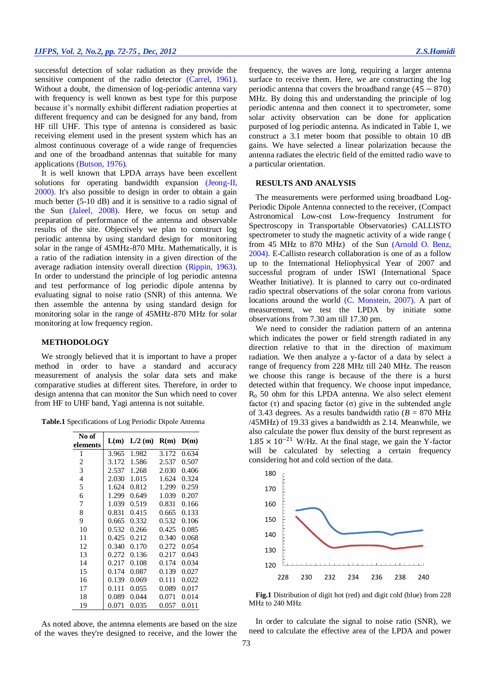## *IJFPS, Vol. 2, No.2, pp. 72-75 , Dec, 2012 Z.S.Hamidi*

successful detection of solar radiation as they provide the sensitive component of the radio detector [\(Carrel, 1961\)](#page-3-4). Without a doubt, the dimension of log-periodic antenna vary with frequency is well known as best type for this purpose because it's normally exhibit different radiation properties at different frequency and can be designed for any band, from HF till UHF. This type of antenna is considered as basic receiving element used in the present system which has an almost continuous coverage of a wide range of frequencies and one of the broadband antennas that suitable for many applications [\(Butson, 1976\)](#page-3-5).

It is well known that LPDA arrays have been excellent solutions for operating bandwidth expansion (Jeong-II, [2000\)](#page-3-1). It's also possible to design in order to obtain a gain much better (5-10 dB) and it is sensitive to a radio signal of the Sun [\(Jaleel, 2008\)](#page-3-6). Here, we focus on setup and preparation of performance of the antenna and observable results of the site. Objectively we plan to construct log periodic antenna by using standard design for monitoring solar in the range of 45MHz-870 MHz. Mathematically, it is a ratio of the radiation intensity in a given direction of the average radiation intensity overall direction [\(Rippin, 1963\)](#page-3-7). In order to understand the principle of log periodic antenna and test performance of log periodic dipole antenna by evaluating signal to noise ratio (SNR) of this antenna. We then assemble the antenna by using standard design for monitoring solar in the range of 45MHz-870 MHz for solar monitoring at low frequency region.

## **METHODOLOGY**

We strongly believed that it is important to have a proper method in order to have a standard and accuracy measurement of analysis the solar data sets and make comparative studies at different sites. Therefore, in order to design antenna that can monitor the Sun which need to cover from HF to UHF band, Yagi antenna is not suitable.

| No of    |       |           | R(m)  | D(m)  |
|----------|-------|-----------|-------|-------|
| elements | L(m)  | $L/2$ (m) |       |       |
| 1        | 3.965 | 1.982     | 3.172 | 0.634 |
| 2        | 3.172 | 1.586     | 2.537 | 0.507 |
| 3        | 2.537 | 1.268     | 2.030 | 0.406 |
| 4        | 2.030 | 1.015     | 1.624 | 0.324 |
| 5        | 1.624 | 0.812     | 1.299 | 0.259 |
| 6        | 1.299 | 0.649     | 1.039 | 0.207 |
| 7        | 1.039 | 0.519     | 0.831 | 0.166 |
| 8        | 0.831 | 0.415     | 0.665 | 0.133 |
| 9        | 0.665 | 0.332     | 0.532 | 0.106 |
| 10       | 0.532 | 0.266     | 0.425 | 0.085 |
| 11       | 0.425 | 0.212     | 0.340 | 0.068 |
| 12       | 0.340 | 0.170     | 0.272 | 0.054 |
| 13       | 0.272 | 0.136     | 0.217 | 0.043 |
| 14       | 0.217 | 0.108     | 0.174 | 0.034 |
| 15       | 0.174 | 0.087     | 0.139 | 0.027 |
| 16       | 0.139 | 0.069     | 0.111 | 0.022 |
| 17       | 0.111 | 0.055     | 0.089 | 0.017 |
| 18       | 0.089 | 0.044     | 0.071 | 0.014 |
| 19       | 0.071 | 0.035     | 0.057 | 0.011 |

As noted above, the antenna elements are based on the size of the waves they're designed to receive, and the lower the

frequency, the waves are long, requiring a larger antenna surface to receive them. Here, we are constructing the log periodic antenna that covers the broadband range  $(45 - 870)$ MHz. By doing this and understanding the principle of log periodic antenna and then connect it to spectrometer, some solar activity observation can be done for application purposed of log periodic antenna. As indicated in Table 1, we construct a 3.1 meter boom that possible to obtain 10 dB gains. We have selected a linear polarization because the antenna radiates the electric field of the emitted radio wave to a particular orientation.

## **RESULTS AND ANALYSIS**

The measurements were performed using broadband Log-Periodic Dipole Antenna connected to the receiver, (Compact Astronomical Low-cost Low-frequency Instrument for Spectroscopy in Transportable Observatories) CALLISTO spectrometer to study the magnetic activity of a wide range ( from 45 MHz to 870 MHz) of the Sun [\(Arnold O. Benz,](#page-3-8)  [2004\)](#page-3-8). E-Callisto research collaboration is one of as a follow up to the International Heliophysical Year of 2007 and successful program of under ISWI (International Space Weather Initiative). It is planned to carry out co-ordinated radio spectral observations of the solar corona from various locations around the world [\(C. Monstein, 2007\)](#page-3-9). A part of measurement, we test the LPDA by initiate some observations from 7.30 am till 17.30 pm.

We need to consider the radiation pattern of an antenna which indicates the power or field strength radiated in any direction relative to that in the direction of maximum radiation. We then analyze a y-factor of a data by select a range of frequency from 228 MHz till 240 MHz. The reason we choose this range is because of the there is a burst detected within that frequency. We choose input impedance,  $R_0$  50 ohm for this LPDA antenna. We also select element factor  $(\tau)$  and spacing factor  $(\sigma)$  give in the subtended angle of 3.43 degrees. As a results bandwidth ratio ( $B = 870$  MHz /45MHz) of 19.33 gives a bandwidth as 2.14. Meanwhile, we also calculate the power flux density of the burst represent as  $1.85 \times 10^{-21}$  W/Hz. At the final stage, we gain the Y-factor will be calculated by selecting a certain frequency considering hot and cold section of the data.



**Fig.1** Distribution of digit hot (red) and digit cold (blue) from 228 MHz to 240 MHz

In order to calculate the signal to noise ratio (SNR), we need to calculate the effective area of the LPDA and power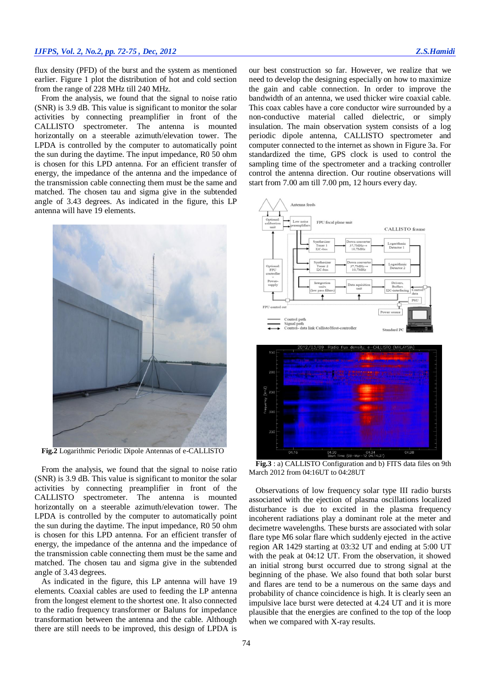# *IJFPS, Vol. 2, No.2, pp. 72-75 , Dec, 2012 Z.S.Hamidi*

flux density (PFD) of the burst and the system as mentioned earlier. Figure 1 plot the distribution of hot and cold section from the range of 228 MHz till 240 MHz.

From the analysis, we found that the signal to noise ratio (SNR) is 3.9 dB. This value is significant to monitor the solar activities by connecting preamplifier in front of the CALLISTO spectrometer. The antenna is mounted horizontally on a steerable azimuth/elevation tower. The LPDA is controlled by the computer to automatically point the sun during the daytime. The input impedance, R0 50 ohm is chosen for this LPD antenna. For an efficient transfer of energy, the impedance of the antenna and the impedance of the transmission cable connecting them must be the same and matched. The chosen tau and sigma give in the subtended angle of 3.43 degrees. As indicated in the figure, this LP antenna will have 19 elements.



**Fig.2** Logarithmic Periodic Dipole Antennas of e-CALLISTO

From the analysis, we found that the signal to noise ratio (SNR) is 3.9 dB. This value is significant to monitor the solar activities by connecting preamplifier in front of the CALLISTO spectrometer. The antenna is mounted horizontally on a steerable azimuth/elevation tower. The LPDA is controlled by the computer to automatically point the sun during the daytime. The input impedance, R0 50 ohm is chosen for this LPD antenna. For an efficient transfer of energy, the impedance of the antenna and the impedance of the transmission cable connecting them must be the same and matched. The chosen tau and sigma give in the subtended angle of 3.43 degrees.

As indicated in the figure, this LP antenna will have 19 elements. Coaxial cables are used to feeding the LP antenna from the longest element to the shortest one. It also connected to the radio frequency transformer or Baluns for impedance transformation between the antenna and the cable. Although there are still needs to be improved, this design of LPDA is

our best construction so far. However, we realize that we need to develop the designing especially on how to maximize the gain and cable connection. In order to improve the bandwidth of an antenna, we used thicker wire coaxial cable. This coax cables have a core conductor wire surrounded by a non-conductive material called dielectric, or simply insulation. The main observation system consists of a log periodic dipole antenna, CALLISTO spectrometer and computer connected to the internet as shown in Figure 3a. For standardized the time, GPS clock is used to control the sampling time of the spectrometer and a tracking controller control the antenna direction. Our routine observations will start from 7.00 am till 7.00 pm, 12 hours every day.



**Fig.3** : a) CALLISTO Configuration and b) FITS data files on 9th March 2012 from 04:16UT to 04:28UT

Observations of low frequency solar type III radio bursts associated with the ejection of plasma oscillations localized disturbance is due to excited in the plasma frequency incoherent radiations play a dominant role at the meter and decimetre wavelengths. These bursts are associated with solar flare type M6 solar flare which suddenly ejected in the active region AR 1429 starting at 03:32 UT and ending at 5:00 UT with the peak at 04:12 UT. From the observation, it showed an initial strong burst occurred due to strong signal at the beginning of the phase. We also found that both solar burst and flares are tend to be a numerous on the same days and probability of chance coincidence is high. It is clearly seen an impulsive lace burst were detected at 4.24 UT and it is more plausible that the energies are confined to the top of the loop when we compared with X-ray results.